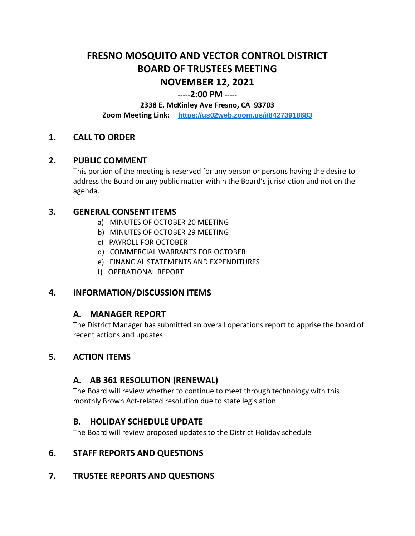# **FRESNO MOSQUITO AND VECTOR CONTROL DISTRICT BOARD OF TRUSTEES MEETING NOVEMBER 12, 2021**

#### **-----2:00 PM -----**

**2338 E. McKinley Ave Fresno, CA 93703**

**Zoom Meeting Link: <https://us02web.zoom.us/j/84273918683>**

# **1. CALL TO ORDER**

#### **2. PUBLIC COMMENT**

This portion of the meeting is reserved for any person or persons having the desire to address the Board on any public matter within the Board's jurisdiction and not on the agenda.

#### **3. GENERAL CONSENT ITEMS**

- a) MINUTES OF OCTOBER 20 MEETING
- b) MINUTES OF OCTOBER 29 MEETING
- c) PAYROLL FOR OCTOBER
- d) COMMERCIAL WARRANTS FOR OCTOBER
- e) FINANCIAL STATEMENTS AND EXPENDITURES
- f) OPERATIONAL REPORT

## **4. INFORMATION/DISCUSSION ITEMS**

## **A. MANAGER REPORT**

The District Manager has submitted an overall operations report to apprise the board of recent actions and updates

## **5. ACTION ITEMS**

## **A. AB 361 RESOLUTION (RENEWAL)**

The Board will review whether to continue to meet through technology with this monthly Brown Act-related resolution due to state legislation

#### **B. HOLIDAY SCHEDULE UPDATE**

The Board will review proposed updates to the District Holiday schedule

## **6. STAFF REPORTS AND QUESTIONS**

## **7. TRUSTEE REPORTS AND QUESTIONS**